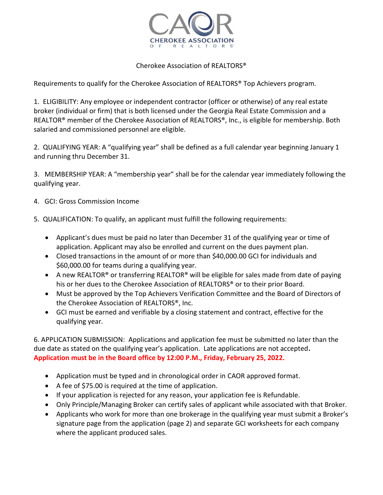

## Cherokee Association of REALTORS®

Requirements to qualify for the Cherokee Association of REALTORS® Top Achievers program.

1. ELIGIBILITY: Any employee or independent contractor (officer or otherwise) of any real estate broker (individual or firm) that is both licensed under the Georgia Real Estate Commission and a REALTOR® member of the Cherokee Association of REALTORS®, Inc., is eligible for membership. Both salaried and commissioned personnel are eligible.

2. QUALIFYING YEAR: A "qualifying year" shall be defined as a full calendar year beginning January 1 and running thru December 31.

3. MEMBERSHIP YEAR: A "membership year" shall be for the calendar year immediately following the qualifying year.

- 4. GCI: Gross Commission Income
- 5. QUALIFICATION: To qualify, an applicant must fulfill the following requirements:
	- Applicant's dues must be paid no later than December 31 of the qualifying year or time of application. Applicant may also be enrolled and current on the dues payment plan.
	- Closed transactions in the amount of or more than \$40,000.00 GCI for individuals and \$60,000.00 for teams during a qualifying year.
	- A new REALTOR® or transferring REALTOR® will be eligible for sales made from date of paying his or her dues to the Cherokee Association of REALTORS® or to their prior Board.
	- Must be approved by the Top Achievers Verification Committee and the Board of Directors of the Cherokee Association of REALTORS®, Inc.
	- GCI must be earned and verifiable by a closing statement and contract, effective for the qualifying year.

6. APPLICATION SUBMISSION: Applications and application fee must be submitted no later than the due date as stated on the qualifying year's application. Late applications are not accepted**. Application must be in the Board office by 12:00 P.M., Friday, February 25, 2022.** 

- Application must be typed and in chronological order in CAOR approved format.
- A fee of \$75.00 is required at the time of application.
- If your application is rejected for any reason, your application fee is Refundable.
- Only Principle/Managing Broker can certify sales of applicant while associated with that Broker.
- Applicants who work for more than one brokerage in the qualifying year must submit a Broker's signature page from the application (page 2) and separate GCI worksheets for each company where the applicant produced sales.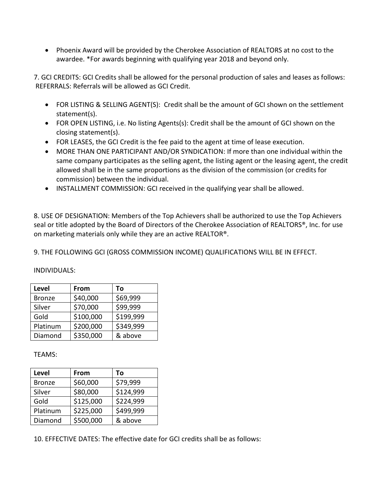• Phoenix Award will be provided by the Cherokee Association of REALTORS at no cost to the awardee. \*For awards beginning with qualifying year 2018 and beyond only.

7. GCI CREDITS: GCI Credits shall be allowed for the personal production of sales and leases as follows: REFERRALS: Referrals will be allowed as GCI Credit.

- FOR LISTING & SELLING AGENT(S): Credit shall be the amount of GCI shown on the settlement statement(s).
- FOR OPEN LISTING, i.e. No listing Agents(s): Credit shall be the amount of GCI shown on the closing statement(s).
- FOR LEASES, the GCI Credit is the fee paid to the agent at time of lease execution.
- MORE THAN ONE PARTICIPANT AND/OR SYNDICATION: If more than one individual within the same company participates as the selling agent, the listing agent or the leasing agent, the credit allowed shall be in the same proportions as the division of the commission (or credits for commission) between the individual.
- INSTALLMENT COMMISSION: GCI received in the qualifying year shall be allowed.

8. USE OF DESIGNATION: Members of the Top Achievers shall be authorized to use the Top Achievers seal or title adopted by the Board of Directors of the Cherokee Association of REALTORS®, Inc. for use on marketing materials only while they are an active REALTOR®.

9. THE FOLLOWING GCI (GROSS COMMISSION INCOME) QUALIFICATIONS WILL BE IN EFFECT.

INDIVIDUALS:

| Level         | From      | To        |
|---------------|-----------|-----------|
| <b>Bronze</b> | \$40,000  | \$69,999  |
| Silver        | \$70,000  | \$99,999  |
| Gold          | \$100,000 | \$199,999 |
| Platinum      | \$200,000 | \$349,999 |
| Diamond       | \$350,000 | & above   |

TEAMS:

| <b>Level</b>  | From      | Тο        |
|---------------|-----------|-----------|
| <b>Bronze</b> | \$60,000  | \$79,999  |
| Silver        | \$80,000  | \$124,999 |
| Gold          | \$125,000 | \$224,999 |
| Platinum      | \$225,000 | \$499,999 |
| Diamond       | \$500,000 | & above   |

<sup>10.</sup> EFFECTIVE DATES: The effective date for GCI credits shall be as follows: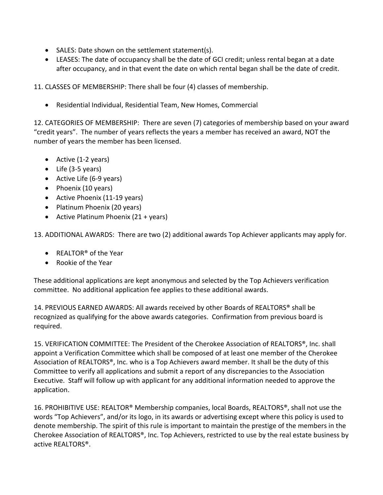- SALES: Date shown on the settlement statement(s).
- LEASES: The date of occupancy shall be the date of GCI credit; unless rental began at a date after occupancy, and in that event the date on which rental began shall be the date of credit.

11. CLASSES OF MEMBERSHIP: There shall be four (4) classes of membership.

• Residential Individual, Residential Team, New Homes, Commercial

12. CATEGORIES OF MEMBERSHIP: There are seven (7) categories of membership based on your award "credit years". The number of years reflects the years a member has received an award, NOT the number of years the member has been licensed.

- Active (1-2 years)
- Life (3-5 years)
- Active Life (6-9 years)
- Phoenix (10 years)
- Active Phoenix (11-19 years)
- Platinum Phoenix (20 years)
- Active Platinum Phoenix (21 + years)

13. ADDITIONAL AWARDS: There are two (2) additional awards Top Achiever applicants may apply for.

- REALTOR® of the Year
- Rookie of the Year

These additional applications are kept anonymous and selected by the Top Achievers verification committee. No additional application fee applies to these additional awards.

14. PREVIOUS EARNED AWARDS: All awards received by other Boards of REALTORS® shall be recognized as qualifying for the above awards categories. Confirmation from previous board is required.

15. VERIFICATION COMMITTEE: The President of the Cherokee Association of REALTORS®, Inc. shall appoint a Verification Committee which shall be composed of at least one member of the Cherokee Association of REALTORS®, Inc. who is a Top Achievers award member. It shall be the duty of this Committee to verify all applications and submit a report of any discrepancies to the Association Executive. Staff will follow up with applicant for any additional information needed to approve the application.

16. PROHIBITIVE USE: REALTOR® Membership companies, local Boards, REALTORS®, shall not use the words "Top Achievers", and/or its logo, in its awards or advertising except where this policy is used to denote membership. The spirit of this rule is important to maintain the prestige of the members in the Cherokee Association of REALTORS®, Inc. Top Achievers, restricted to use by the real estate business by active REALTORS®.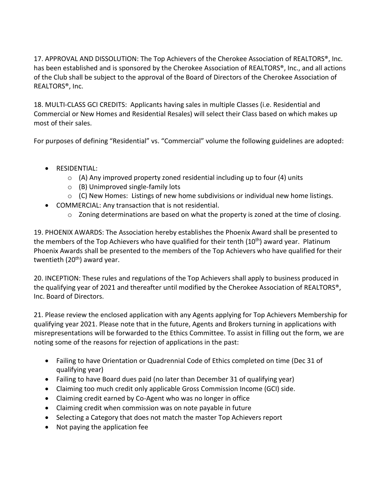17. APPROVAL AND DISSOLUTION: The Top Achievers of the Cherokee Association of REALTORS®, Inc. has been established and is sponsored by the Cherokee Association of REALTORS®, Inc., and all actions of the Club shall be subject to the approval of the Board of Directors of the Cherokee Association of REALTORS®, Inc.

18. MULTI-CLASS GCI CREDITS: Applicants having sales in multiple Classes (i.e. Residential and Commercial or New Homes and Residential Resales) will select their Class based on which makes up most of their sales.

For purposes of defining "Residential" vs. "Commercial" volume the following guidelines are adopted:

- RESIDENTIAL:
	- $\circ$  (A) Any improved property zoned residential including up to four (4) units
	- o (B) Unimproved single-family lots
	- o (C) New Homes: Listings of new home subdivisions or individual new home listings.
- COMMERCIAL: Any transaction that is not residential.
	- $\circ$  Zoning determinations are based on what the property is zoned at the time of closing.

19. PHOENIX AWARDS: The Association hereby establishes the Phoenix Award shall be presented to the members of the Top Achievers who have qualified for their tenth (10<sup>th</sup>) award year. Platinum Phoenix Awards shall be presented to the members of the Top Achievers who have qualified for their twentieth (20<sup>th</sup>) award year.

20. INCEPTION: These rules and regulations of the Top Achievers shall apply to business produced in the qualifying year of 2021 and thereafter until modified by the Cherokee Association of REALTORS®, Inc. Board of Directors.

21. Please review the enclosed application with any Agents applying for Top Achievers Membership for qualifying year 2021. Please note that in the future, Agents and Brokers turning in applications with misrepresentations will be forwarded to the Ethics Committee. To assist in filling out the form, we are noting some of the reasons for rejection of applications in the past:

- Failing to have Orientation or Quadrennial Code of Ethics completed on time (Dec 31 of qualifying year)
- Failing to have Board dues paid (no later than December 31 of qualifying year)
- Claiming too much credit only applicable Gross Commission Income (GCI) side.
- Claiming credit earned by Co-Agent who was no longer in office
- Claiming credit when commission was on note payable in future
- Selecting a Category that does not match the master Top Achievers report
- Not paying the application fee